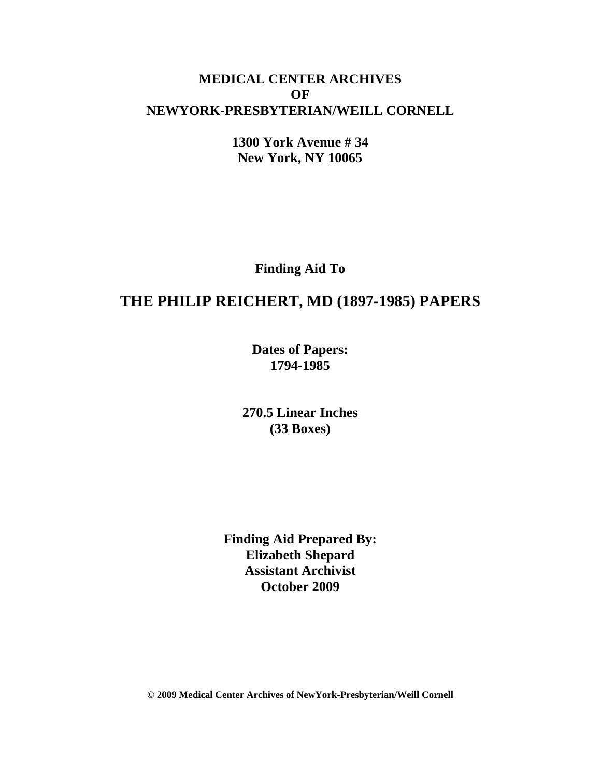# **MEDICAL CENTER ARCHIVES OF NEWYORK-PRESBYTERIAN/WEILL CORNELL**

**1300 York Avenue # 34 New York, NY 10065**

**Finding Aid To**

# **THE PHILIP REICHERT, MD (1897-1985) PAPERS**

**Dates of Papers: 1794-1985**

**270.5 Linear Inches (33 Boxes)**

**Finding Aid Prepared By: Elizabeth Shepard Assistant Archivist October 2009**

**© 2009 Medical Center Archives of NewYork-Presbyterian/Weill Cornell**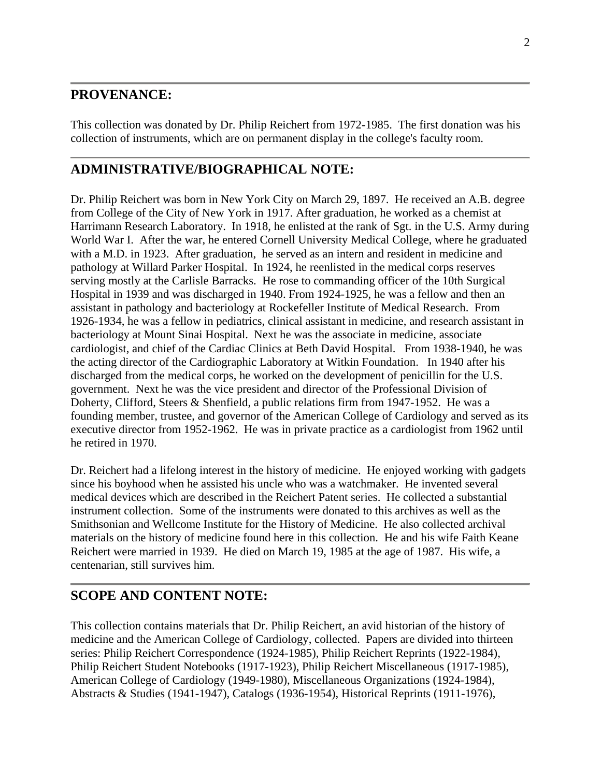# **PROVENANCE:**

This collection was donated by Dr. Philip Reichert from 1972-1985. The first donation was his collection of instruments, which are on permanent display in the college's faculty room.

# **ADMINISTRATIVE/BIOGRAPHICAL NOTE:**

Dr. Philip Reichert was born in New York City on March 29, 1897. He received an A.B. degree from College of the City of New York in 1917. After graduation, he worked as a chemist at Harrimann Research Laboratory. In 1918, he enlisted at the rank of Sgt. in the U.S. Army during World War I. After the war, he entered Cornell University Medical College, where he graduated with a M.D. in 1923. After graduation, he served as an intern and resident in medicine and pathology at Willard Parker Hospital. In 1924, he reenlisted in the medical corps reserves serving mostly at the Carlisle Barracks. He rose to commanding officer of the 10th Surgical Hospital in 1939 and was discharged in 1940. From 1924-1925, he was a fellow and then an assistant in pathology and bacteriology at Rockefeller Institute of Medical Research. From 1926-1934, he was a fellow in pediatrics, clinical assistant in medicine, and research assistant in bacteriology at Mount Sinai Hospital. Next he was the associate in medicine, associate cardiologist, and chief of the Cardiac Clinics at Beth David Hospital. From 1938-1940, he was the acting director of the Cardiographic Laboratory at Witkin Foundation. In 1940 after his discharged from the medical corps, he worked on the development of penicillin for the U.S. government. Next he was the vice president and director of the Professional Division of Doherty, Clifford, Steers & Shenfield, a public relations firm from 1947-1952. He was a founding member, trustee, and governor of the American College of Cardiology and served as its executive director from 1952-1962. He was in private practice as a cardiologist from 1962 until he retired in 1970.

Dr. Reichert had a lifelong interest in the history of medicine. He enjoyed working with gadgets since his boyhood when he assisted his uncle who was a watchmaker. He invented several medical devices which are described in the Reichert Patent series. He collected a substantial instrument collection. Some of the instruments were donated to this archives as well as the Smithsonian and Wellcome Institute for the History of Medicine. He also collected archival materials on the history of medicine found here in this collection. He and his wife Faith Keane Reichert were married in 1939. He died on March 19, 1985 at the age of 1987. His wife, a centenarian, still survives him.

# **SCOPE AND CONTENT NOTE:**

This collection contains materials that Dr. Philip Reichert, an avid historian of the history of medicine and the American College of Cardiology, collected. Papers are divided into thirteen series: Philip Reichert Correspondence (1924-1985), Philip Reichert Reprints (1922-1984), Philip Reichert Student Notebooks (1917-1923), Philip Reichert Miscellaneous (1917-1985), American College of Cardiology (1949-1980), Miscellaneous Organizations (1924-1984), Abstracts & Studies (1941-1947), Catalogs (1936-1954), Historical Reprints (1911-1976),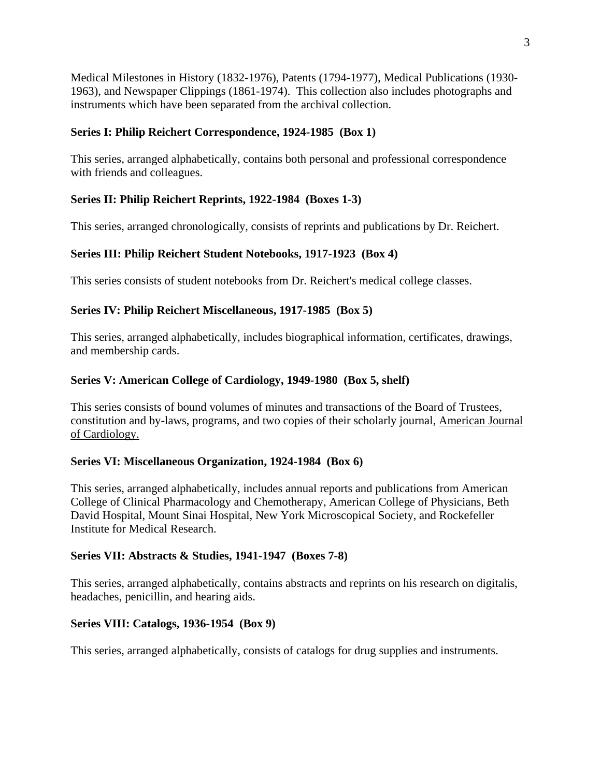Medical Milestones in History (1832-1976), Patents (1794-1977), Medical Publications (1930- 1963), and Newspaper Clippings (1861-1974). This collection also includes photographs and instruments which have been separated from the archival collection.

## **Series I: Philip Reichert Correspondence, 1924-1985 (Box 1)**

This series, arranged alphabetically, contains both personal and professional correspondence with friends and colleagues.

## **Series II: Philip Reichert Reprints, 1922-1984 (Boxes 1-3)**

This series, arranged chronologically, consists of reprints and publications by Dr. Reichert.

## **Series III: Philip Reichert Student Notebooks, 1917-1923 (Box 4)**

This series consists of student notebooks from Dr. Reichert's medical college classes.

## **Series IV: Philip Reichert Miscellaneous, 1917-1985 (Box 5)**

This series, arranged alphabetically, includes biographical information, certificates, drawings, and membership cards.

## **Series V: American College of Cardiology, 1949-1980 (Box 5, shelf)**

This series consists of bound volumes of minutes and transactions of the Board of Trustees, constitution and by-laws, programs, and two copies of their scholarly journal, American Journal of Cardiology.

#### **Series VI: Miscellaneous Organization, 1924-1984 (Box 6)**

This series, arranged alphabetically, includes annual reports and publications from American College of Clinical Pharmacology and Chemotherapy, American College of Physicians, Beth David Hospital, Mount Sinai Hospital, New York Microscopical Society, and Rockefeller Institute for Medical Research.

#### **Series VII: Abstracts & Studies, 1941-1947 (Boxes 7-8)**

This series, arranged alphabetically, contains abstracts and reprints on his research on digitalis, headaches, penicillin, and hearing aids.

## **Series VIII: Catalogs, 1936-1954 (Box 9)**

This series, arranged alphabetically, consists of catalogs for drug supplies and instruments.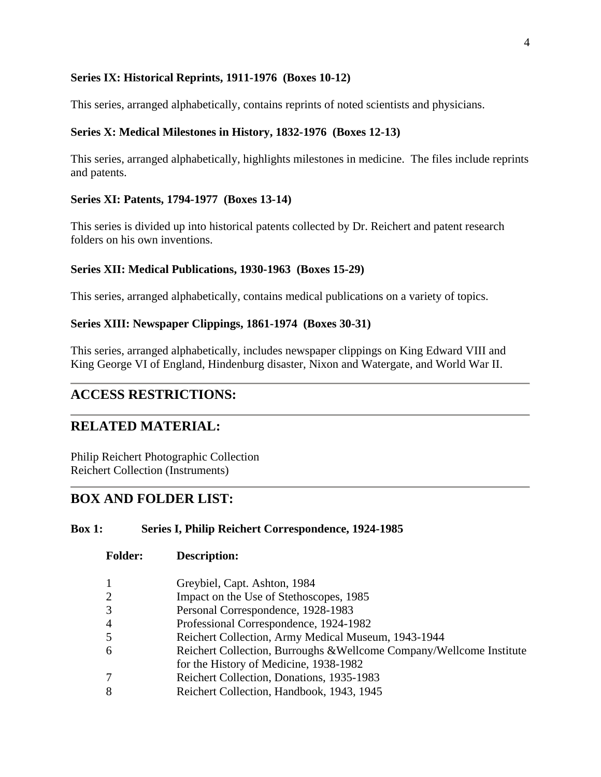### **Series IX: Historical Reprints, 1911-1976 (Boxes 10-12)**

This series, arranged alphabetically, contains reprints of noted scientists and physicians.

## **Series X: Medical Milestones in History, 1832-1976 (Boxes 12-13)**

This series, arranged alphabetically, highlights milestones in medicine. The files include reprints and patents.

### **Series XI: Patents, 1794-1977 (Boxes 13-14)**

This series is divided up into historical patents collected by Dr. Reichert and patent research folders on his own inventions.

## **Series XII: Medical Publications, 1930-1963 (Boxes 15-29)**

This series, arranged alphabetically, contains medical publications on a variety of topics.

#### **Series XIII: Newspaper Clippings, 1861-1974 (Boxes 30-31)**

This series, arranged alphabetically, includes newspaper clippings on King Edward VIII and King George VI of England, Hindenburg disaster, Nixon and Watergate, and World War II.

# **ACCESS RESTRICTIONS:**

# **RELATED MATERIAL:**

Philip Reichert Photographic Collection Reichert Collection (Instruments)

# **BOX AND FOLDER LIST:**

#### **Box 1: Series I, Philip Reichert Correspondence, 1924-1985**

- 1 Greybiel, Capt. Ashton, 1984
- 2 Impact on the Use of Stethoscopes, 1985
- 3 Personal Correspondence, 1928-1983
- 4 Professional Correspondence, 1924-1982
- 5 Reichert Collection, Army Medical Museum, 1943-1944
- 6 Reichert Collection, Burroughs &Wellcome Company/Wellcome Institute for the History of Medicine, 1938-1982
- 7 Reichert Collection, Donations, 1935-1983
- 8 Reichert Collection, Handbook, 1943, 1945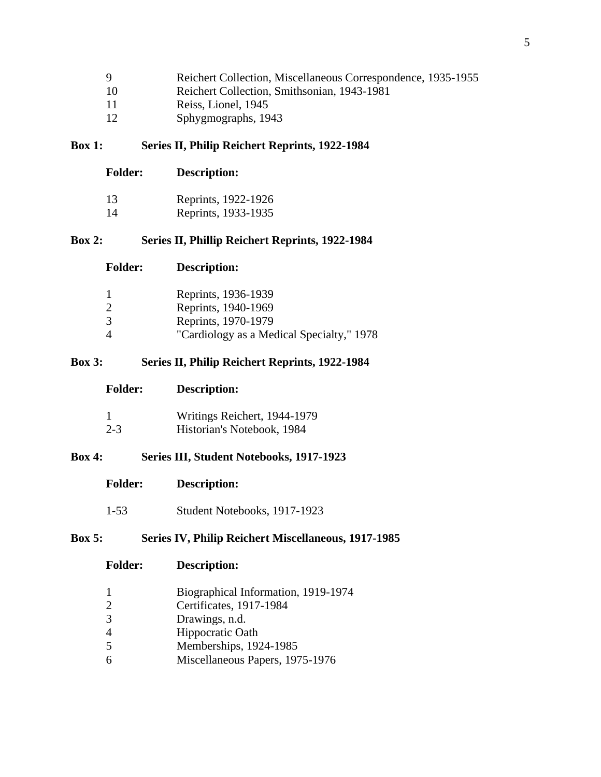| -9  | Reichert Collection, Miscellaneous Correspondence, 1935-1955 |
|-----|--------------------------------------------------------------|
| -10 | Reichert Collection, Smithsonian, 1943-1981                  |
| -11 | Reiss, Lionel, 1945                                          |

12 Sphygmographs, 1943

#### **Box 1: Series II, Philip Reichert Reprints, 1922-1984**

| <b>Folder:</b> | <b>Description:</b> |
|----------------|---------------------|
|                |                     |

| 13 | Reprints, 1922-1926 |
|----|---------------------|
|    | $\sqrt{1000}$       |

14 Reprints, 1933-1935

## **Box 2: Series II, Phillip Reichert Reprints, 1922-1984**

|   | Reprints, 1936-1939                       |
|---|-------------------------------------------|
| 2 | Reprints, 1940-1969                       |
| 3 | Reprints, 1970-1979                       |
| 4 | "Cardiology as a Medical Specialty," 1978 |

## **Box 3: Series II, Philip Reichert Reprints, 1922-1984**

| Description:<br><b>Folder:</b> |
|--------------------------------|
|--------------------------------|

| Writings Reichert, 1944-1979 |  |
|------------------------------|--|
|------------------------------|--|

2-3 Historian's Notebook, 1984

## **Box 4: Series III, Student Notebooks, 1917-1923**

- **Folder: Description:**
- 1-53 Student Notebooks, 1917-1923

## **Box 5: Series IV, Philip Reichert Miscellaneous, 1917-1985**

- 1 Biographical Information, 1919-1974<br>2 Certificates, 1917-1984
- 2 Certificates, 1917-1984
- 3 Drawings, n.d.
- 4 Hippocratic Oath
- 5 Memberships, 1924-1985
- 6 Miscellaneous Papers, 1975-1976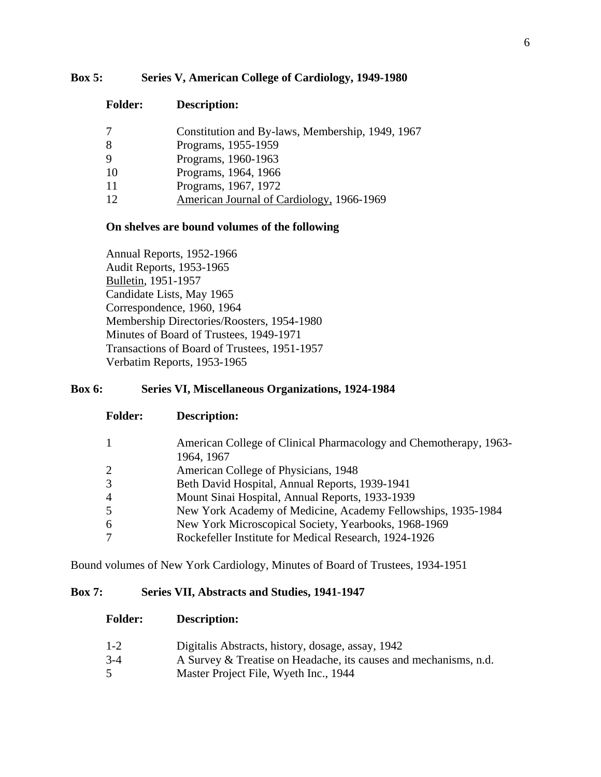#### **Box 5: Series V, American College of Cardiology, 1949-1980**

**Folder: Description:**

| 7  | Constitution and By-laws, Membership, 1949, 1967 |
|----|--------------------------------------------------|
| 8  | Programs, 1955-1959                              |
| 9  | Programs, 1960-1963                              |
| 10 | Programs, 1964, 1966                             |
| 11 | Programs, 1967, 1972                             |
| 12 | American Journal of Cardiology, 1966-1969        |

#### **On shelves are bound volumes of the following**

Annual Reports, 1952-1966 Audit Reports, 1953-1965 Bulletin, 1951-1957 Candidate Lists, May 1965 Correspondence, 1960, 1964 Membership Directories/Roosters, 1954-1980 Minutes of Board of Trustees, 1949-1971 Transactions of Board of Trustees, 1951-1957 Verbatim Reports, 1953-1965

### **Box 6: Series VI, Miscellaneous Organizations, 1924-1984**

| $\mathbf{1}$ | American College of Clinical Pharmacology and Chemotherapy, 1963- |
|--------------|-------------------------------------------------------------------|
|              | 1964, 1967                                                        |
| 2            | American College of Physicians, 1948                              |
| 3            | Beth David Hospital, Annual Reports, 1939-1941                    |
| 4            | Mount Sinai Hospital, Annual Reports, 1933-1939                   |
| 5            | New York Academy of Medicine, Academy Fellowships, 1935-1984      |
| 6            | New York Microscopical Society, Yearbooks, 1968-1969              |
| 7            | Rockefeller Institute for Medical Research, 1924-1926             |

Bound volumes of New York Cardiology, Minutes of Board of Trustees, 1934-1951

#### **Box 7: Series VII, Abstracts and Studies, 1941-1947**

- **Folder: Description:**
- 1-2 Digitalis Abstracts, history, dosage, assay, 1942
- 3-4 A Survey & Treatise on Headache, its causes and mechanisms, n.d.
- 5 Master Project File, Wyeth Inc., 1944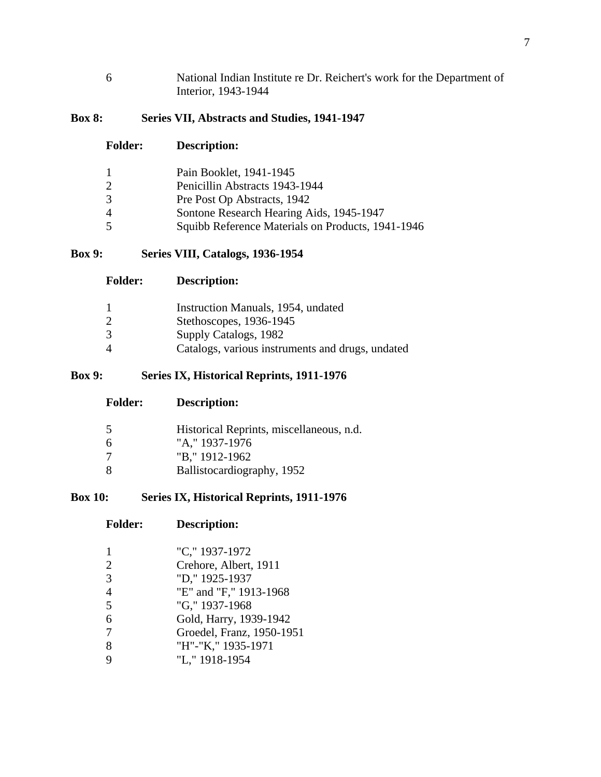National Indian Institute re Dr. Reichert's work for the Department of Interior, 1943-1944

## **Box 8: Series VII, Abstracts and Studies, 1941-1947**

#### **Folder: Description:**

| 1 | Pain Booklet, 1941-1945                           |
|---|---------------------------------------------------|
| 2 | Penicillin Abstracts 1943-1944                    |
| 3 | Pre Post Op Abstracts, 1942                       |
| 4 | Sontone Research Hearing Aids, 1945-1947          |
| 5 | Squibb Reference Materials on Products, 1941-1946 |

## **Box 9: Series VIII, Catalogs, 1936-1954**

|   | Instruction Manuals, 1954, undated               |
|---|--------------------------------------------------|
| 2 | Stethoscopes, 1936-1945                          |
| 3 | Supply Catalogs, 1982                            |
| 4 | Catalogs, various instruments and drugs, undated |

# **Box 9: Series IX, Historical Reprints, 1911-1976**

| 5 | Historical Reprints, miscellaneous, n.d. |
|---|------------------------------------------|
|   |                                          |
| 6 | "A," 1937-1976                           |
| 7 | "B," 1912-1962                           |
| 8 | Ballistocardiography, 1952               |

## **Box 10: Series IX, Historical Reprints, 1911-1976**

**Folder: Description:**

| $\mathbf{1}$   | "C," 1937-1972            |
|----------------|---------------------------|
| 2              | Crehore, Albert, 1911     |
| 3              | "D," 1925-1937            |
| $\overline{4}$ | "E" and "F," 1913-1968    |
| 5              | "G," 1937-1968            |
| 6              | Gold, Harry, 1939-1942    |
| 7              | Groedel, Franz, 1950-1951 |
| 8              | "H"-"K," 1935-1971        |
| 9              | "L," 1918-1954            |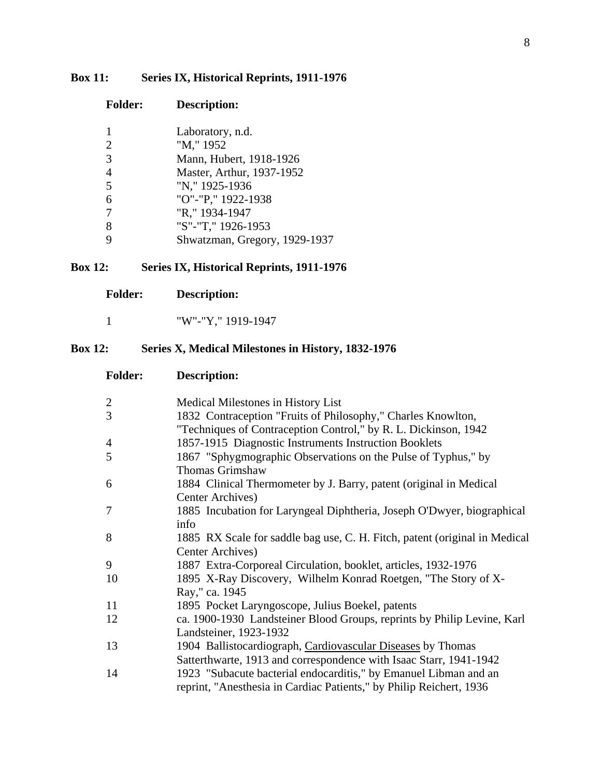# **Box 11: Series IX, Historical Reprints, 1911-1976**

|                | Laboratory, n.d.              |
|----------------|-------------------------------|
| $\overline{2}$ | "M," 1952                     |
| 3              | Mann, Hubert, 1918-1926       |
| $\overline{4}$ | Master, Arthur, 1937-1952     |
| 5              | "N," 1925-1936                |
| 6              | "O"-"P," 1922-1938            |
| 7              | "R," 1934-1947                |
| 8              | "S"-"T," 1926-1953            |
| Q              | Shwatzman, Gregory, 1929-1937 |
|                |                               |

# **Box 12: Series IX, Historical Reprints, 1911-1976**

| <b>Folder:</b> | <b>Description:</b> |
|----------------|---------------------|
|                |                     |

**Folder: Description:**

# **Box 12: Series X, Medical Milestones in History, 1832-1976**

| <b>Folder:</b> | <b>Description:</b>                                                                                                                     |
|----------------|-----------------------------------------------------------------------------------------------------------------------------------------|
| $\mathbf{2}$   | Medical Milestones in History List                                                                                                      |
| 3              | 1832 Contraception "Fruits of Philosophy," Charles Knowlton,<br>"Techniques of Contraception Control," by R. L. Dickinson, 1942         |
| $\overline{4}$ | 1857-1915 Diagnostic Instruments Instruction Booklets                                                                                   |
| 5              | 1867 "Sphygmographic Observations on the Pulse of Typhus," by<br><b>Thomas Grimshaw</b>                                                 |
| 6              | 1884 Clinical Thermometer by J. Barry, patent (original in Medical<br>Center Archives)                                                  |
| 7              | 1885 Incubation for Laryngeal Diphtheria, Joseph O'Dwyer, biographical<br>info                                                          |
| 8              | 1885 RX Scale for saddle bag use, C. H. Fitch, patent (original in Medical<br>Center Archives)                                          |
| 9              | 1887 Extra-Corporeal Circulation, booklet, articles, 1932-1976                                                                          |
| 10             | 1895 X-Ray Discovery, Wilhelm Konrad Roetgen, "The Story of X-<br>Ray," ca. 1945                                                        |
| 11             | 1895 Pocket Laryngoscope, Julius Boekel, patents                                                                                        |
| 12             | ca. 1900-1930 Landsteiner Blood Groups, reprints by Philip Levine, Karl<br>Landsteiner, 1923-1932                                       |
| 13             | 1904 Ballistocardiograph, Cardiovascular Diseases by Thomas<br>Satterthwarte, 1913 and correspondence with Isaac Starr, 1941-1942       |
| 14             | 1923 "Subacute bacterial endocarditis," by Emanuel Libman and an<br>reprint, "Anesthesia in Cardiac Patients," by Philip Reichert, 1936 |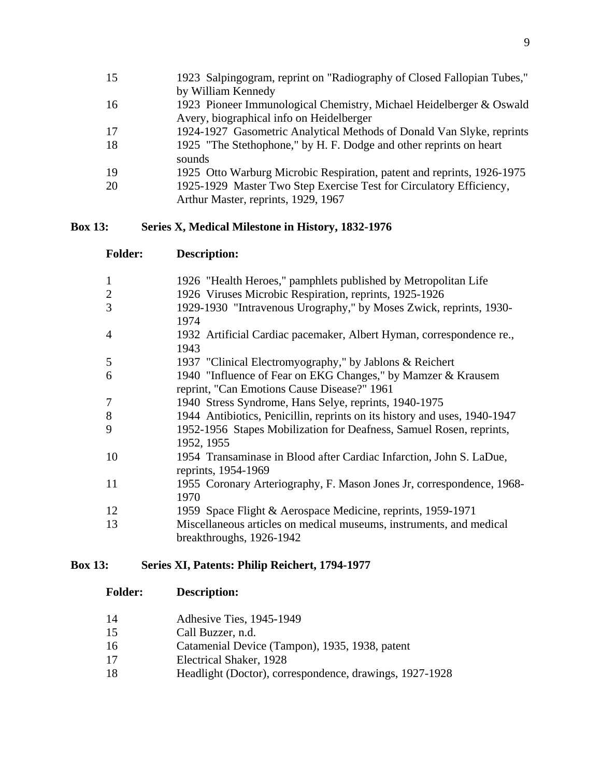| 15 | 1923 Salpingogram, reprint on "Radiography of Closed Fallopian Tubes," |
|----|------------------------------------------------------------------------|
|    | by William Kennedy                                                     |
| 16 | 1923 Pioneer Immunological Chemistry, Michael Heidelberger & Oswald    |
|    | Avery, biographical info on Heidelberger                               |
| 17 | 1924-1927 Gasometric Analytical Methods of Donald Van Slyke, reprints  |
| 18 | 1925 "The Stethophone," by H. F. Dodge and other reprints on heart     |
|    | sounds                                                                 |
| 19 | 1925 Otto Warburg Microbic Respiration, patent and reprints, 1926-1975 |
| 20 | 1925-1929 Master Two Step Exercise Test for Circulatory Efficiency,    |
|    | Arthur Master, reprints, 1929, 1967                                    |

## **Box 13: Series X, Medical Milestone in History, 1832-1976**

| <b>Folder:</b> | <b>Description:</b>                                                                                         |
|----------------|-------------------------------------------------------------------------------------------------------------|
| 1              | 1926 "Health Heroes," pamphlets published by Metropolitan Life                                              |
| $\overline{2}$ | 1926 Viruses Microbic Respiration, reprints, 1925-1926                                                      |
| 3              | 1929-1930 "Intravenous Urography," by Moses Zwick, reprints, 1930-<br>1974                                  |
| 4              | 1932 Artificial Cardiac pacemaker, Albert Hyman, correspondence re.,<br>1943                                |
| 5              | 1937 "Clinical Electromyography," by Jablons & Reichert                                                     |
| 6              | 1940 "Influence of Fear on EKG Changes," by Mamzer & Krausem<br>reprint, "Can Emotions Cause Disease?" 1961 |
| 7              | 1940 Stress Syndrome, Hans Selye, reprints, 1940-1975                                                       |
| 8              | 1944 Antibiotics, Penicillin, reprints on its history and uses, 1940-1947                                   |
| 9              | 1952-1956 Stapes Mobilization for Deafness, Samuel Rosen, reprints,<br>1952, 1955                           |
| 10             | 1954 Transaminase in Blood after Cardiac Infarction, John S. LaDue,<br>reprints, 1954-1969                  |
| 11             | 1955 Coronary Arteriography, F. Mason Jones Jr, correspondence, 1968-<br>1970                               |
| 12             | 1959 Space Flight & Aerospace Medicine, reprints, 1959-1971                                                 |
| 13             | Miscellaneous articles on medical museums, instruments, and medical<br>breakthroughs, 1926-1942             |

# **Box 13: Series XI, Patents: Philip Reichert, 1794-1977**

| 14 | Adhesive Ties, 1945-1949 |  |
|----|--------------------------|--|
|----|--------------------------|--|

- Call Buzzer, n.d.
- Catamenial Device (Tampon), 1935, 1938, patent
- Electrical Shaker, 1928
- Headlight (Doctor), correspondence, drawings, 1927-1928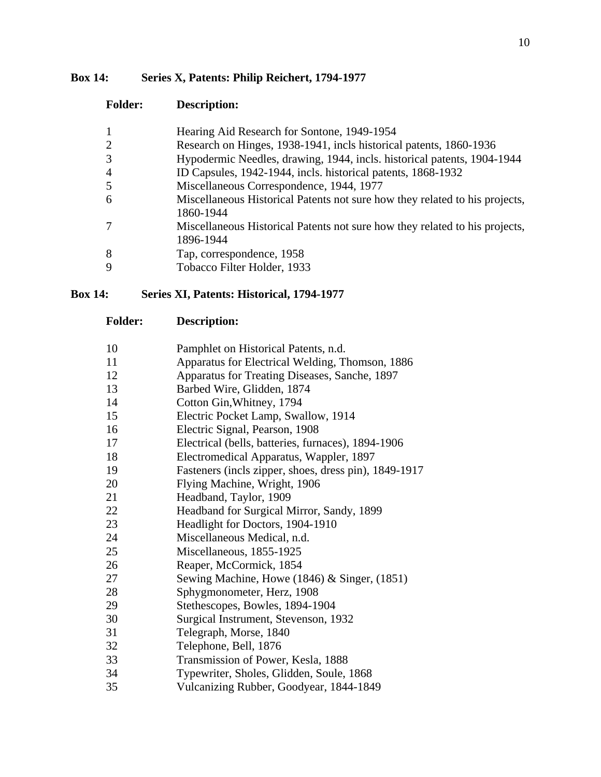#### **Box 14: Series X, Patents: Philip Reichert, 1794-1977**

#### **Folder: Description:**

| 1              | Hearing Aid Research for Sontone, 1949-1954                                              |
|----------------|------------------------------------------------------------------------------------------|
| $\overline{2}$ | Research on Hinges, 1938-1941, incls historical patents, 1860-1936                       |
| 3              | Hypodermic Needles, drawing, 1944, incls. historical patents, 1904-1944                  |
| 4              | ID Capsules, 1942-1944, incls. historical patents, 1868-1932                             |
| 5              | Miscellaneous Correspondence, 1944, 1977                                                 |
| 6              | Miscellaneous Historical Patents not sure how they related to his projects,<br>1860-1944 |
| 7              | Miscellaneous Historical Patents not sure how they related to his projects,<br>1896-1944 |
| 8              | Tap, correspondence, 1958                                                                |
| 9              | Tobacco Filter Holder, 1933                                                              |

#### **Box 14: Series XI, Patents: Historical, 1794-1977**

- Pamphlet on Historical Patents, n.d.
- Apparatus for Electrical Welding, Thomson, 1886
- Apparatus for Treating Diseases, Sanche, 1897
- Barbed Wire, Glidden, 1874
- Cotton Gin,Whitney, 1794
- Electric Pocket Lamp, Swallow, 1914
- Electric Signal, Pearson, 1908
- Electrical (bells, batteries, furnaces), 1894-1906
- Electromedical Apparatus, Wappler, 1897
- Fasteners (incls zipper, shoes, dress pin), 1849-1917
- Flying Machine, Wright, 1906
- Headband, Taylor, 1909
- Headband for Surgical Mirror, Sandy, 1899
- Headlight for Doctors, 1904-1910
- Miscellaneous Medical, n.d.
- Miscellaneous, 1855-1925
- Reaper, McCormick, 1854
- Sewing Machine, Howe (1846) & Singer, (1851)
- Sphygmonometer, Herz, 1908
- Stethescopes, Bowles, 1894-1904
- Surgical Instrument, Stevenson, 1932
- Telegraph, Morse, 1840
- Telephone, Bell, 1876
- Transmission of Power, Kesla, 1888
- Typewriter, Sholes, Glidden, Soule, 1868
- Vulcanizing Rubber, Goodyear, 1844-1849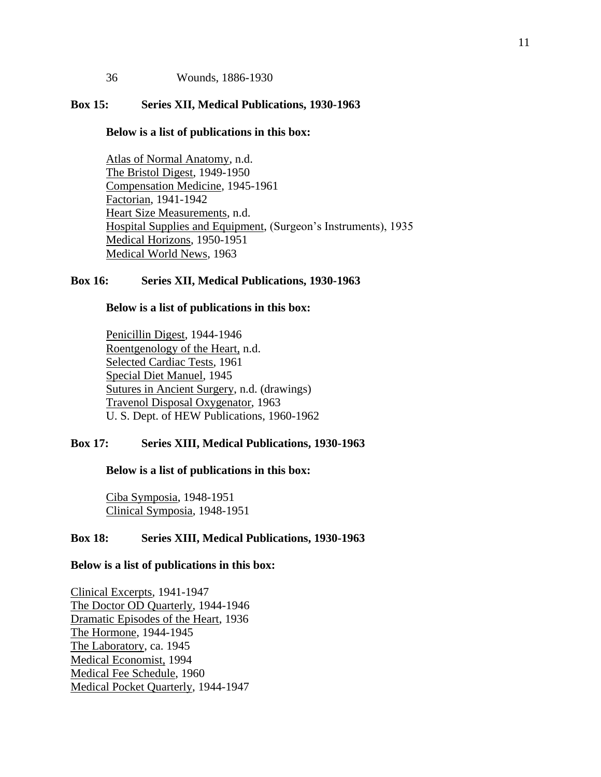36 Wounds, 1886-1930

#### **Box 15: Series XII, Medical Publications, 1930-1963**

#### **Below is a list of publications in this box:**

Atlas of Normal Anatomy, n.d. The Bristol Digest, 1949-1950 Compensation Medicine, 1945-1961 Factorian, 1941-1942 Heart Size Measurements, n.d. Hospital Supplies and Equipment, (Surgeon's Instruments), 1935 Medical Horizons, 1950-1951 Medical World News, 1963

#### **Box 16: Series XII, Medical Publications, 1930-1963**

#### **Below is a list of publications in this box:**

Penicillin Digest, 1944-1946 Roentgenology of the Heart, n.d. Selected Cardiac Tests, 1961 Special Diet Manuel, 1945 Sutures in Ancient Surgery, n.d. (drawings) Travenol Disposal Oxygenator, 1963 U. S. Dept. of HEW Publications, 1960-1962

#### **Box 17: Series XIII, Medical Publications, 1930-1963**

#### **Below is a list of publications in this box:**

Ciba Symposia, 1948-1951 Clinical Symposia, 1948-1951

#### **Box 18: Series XIII, Medical Publications, 1930-1963**

#### **Below is a list of publications in this box:**

Clinical Excerpts, 1941-1947 The Doctor OD Quarterly, 1944-1946 Dramatic Episodes of the Heart, 1936 The Hormone, 1944-1945 The Laboratory, ca. 1945 Medical Economist, 1994 Medical Fee Schedule, 1960 Medical Pocket Quarterly, 1944-1947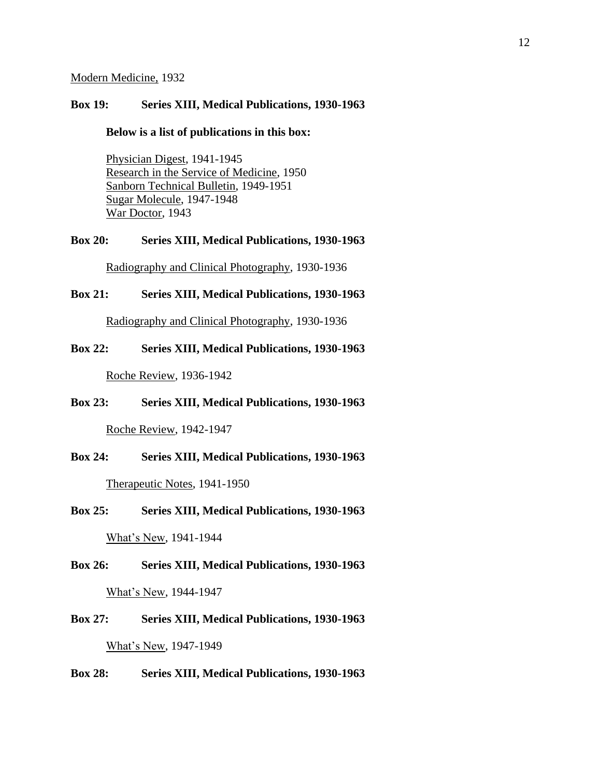#### Modern Medicine, 1932

#### **Box 19: Series XIII, Medical Publications, 1930-1963**

#### **Below is a list of publications in this box:**

Physician Digest, 1941-1945 Research in the Service of Medicine, 1950 Sanborn Technical Bulletin, 1949-1951 Sugar Molecule, 1947-1948 War Doctor, 1943

# **Box 20: Series XIII, Medical Publications, 1930-1963**

Radiography and Clinical Photography, 1930-1936

#### **Box 21: Series XIII, Medical Publications, 1930-1963**

Radiography and Clinical Photography, 1930-1936

#### **Box 22: Series XIII, Medical Publications, 1930-1963**

Roche Review, 1936-1942

#### **Box 23: Series XIII, Medical Publications, 1930-1963**

Roche Review, 1942-1947

#### **Box 24: Series XIII, Medical Publications, 1930-1963**

Therapeutic Notes, 1941-1950

## **Box 25: Series XIII, Medical Publications, 1930-1963**

What's New, 1941-1944

# **Box 26: Series XIII, Medical Publications, 1930-1963**

What's New, 1944-1947

**Box 27: Series XIII, Medical Publications, 1930-1963** What's New, 1947-1949

#### **Box 28: Series XIII, Medical Publications, 1930-1963**